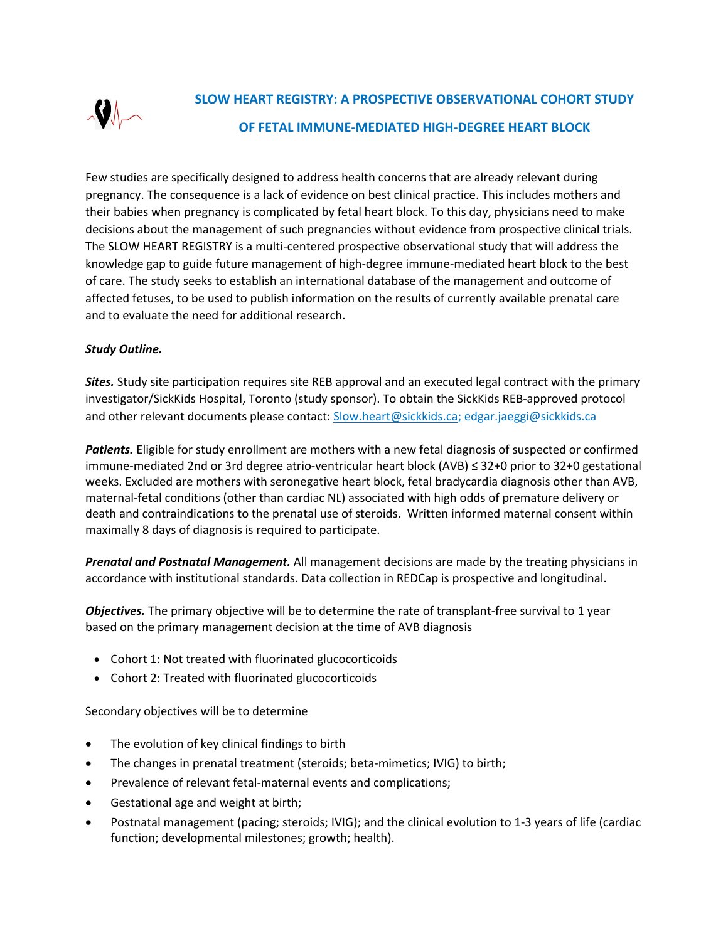

Few studies are specifically designed to address health concerns that are already relevant during pregnancy. The consequence is a lack of evidence on best clinical practice. This includes mothers and their babies when pregnancy is complicated by fetal heart block. To this day, physicians need to make decisions about the management of such pregnancies without evidence from prospective clinical trials. The SLOW HEART REGISTRY is a multi-centered prospective observational study that will address the knowledge gap to guide future management of high-degree immune-mediated heart block to the best of care. The study seeks to establish an international database of the management and outcome of affected fetuses, to be used to publish information on the results of currently available prenatal care and to evaluate the need for additional research.

## *Study Outline.*

*Sites.* Study site participation requires site REB approval and an executed legal contract with the primary investigator/SickKids Hospital, Toronto (study sponsor). To obtain the SickKids REB-approved protocol and other relevant documents please contact: Slow.heart@sickkids.ca; edgar.jaeggi@sickkids.ca

*Patients.* Eligible for study enrollment are mothers with a new fetal diagnosis of suspected or confirmed immune-mediated 2nd or 3rd degree atrio-ventricular heart block (AVB) ≤ 32+0 prior to 32+0 gestational weeks. Excluded are mothers with seronegative heart block, fetal bradycardia diagnosis other than AVB, maternal-fetal conditions (other than cardiac NL) associated with high odds of premature delivery or death and contraindications to the prenatal use of steroids. Written informed maternal consent within maximally 8 days of diagnosis is required to participate.

*Prenatal and Postnatal Management.* All management decisions are made by the treating physicians in accordance with institutional standards. Data collection in REDCap is prospective and longitudinal.

*Objectives.* The primary objective will be to determine the rate of transplant-free survival to 1 year based on the primary management decision at the time of AVB diagnosis

- Cohort 1: Not treated with fluorinated glucocorticoids
- Cohort 2: Treated with fluorinated glucocorticoids

Secondary objectives will be to determine

- The evolution of key clinical findings to birth
- The changes in prenatal treatment (steroids; beta-mimetics; IVIG) to birth;
- Prevalence of relevant fetal-maternal events and complications;
- Gestational age and weight at birth;
- Postnatal management (pacing; steroids; IVIG); and the clinical evolution to 1-3 years of life (cardiac function; developmental milestones; growth; health).